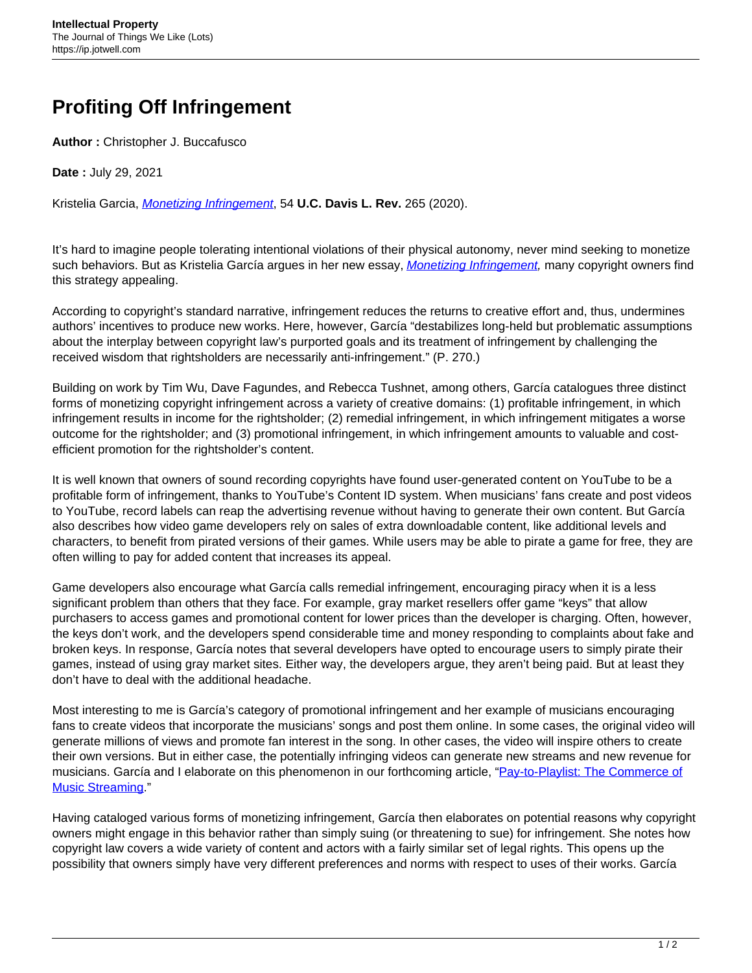## **Profiting Off Infringement**

**Author :** Christopher J. Buccafusco

**Date :** July 29, 2021

Kristelia Garcia, [Monetizing Infringement](https://lawreview.law.ucdavis.edu/issues/54/1/articles/files/54-1_Garcia.pdf), 54 **U.C. Davis L. Rev.** 265 (2020).

It's hard to imagine people tolerating intentional violations of their physical autonomy, never mind seeking to monetize such behaviors. But as Kristelia García argues in her new essay, [Monetizing Infringement,](https://papers.ssrn.com/sol3/papers.cfm?abstract_id=3553453) many copyright owners find this strategy appealing.

According to copyright's standard narrative, infringement reduces the returns to creative effort and, thus, undermines authors' incentives to produce new works. Here, however, García "destabilizes long-held but problematic assumptions about the interplay between copyright law's purported goals and its treatment of infringement by challenging the received wisdom that rightsholders are necessarily anti-infringement." (P. 270.)

Building on work by Tim Wu, Dave Fagundes, and Rebecca Tushnet, among others, García catalogues three distinct forms of monetizing copyright infringement across a variety of creative domains: (1) profitable infringement, in which infringement results in income for the rightsholder; (2) remedial infringement, in which infringement mitigates a worse outcome for the rightsholder; and (3) promotional infringement, in which infringement amounts to valuable and costefficient promotion for the rightsholder's content.

It is well known that owners of sound recording copyrights have found user-generated content on YouTube to be a profitable form of infringement, thanks to YouTube's Content ID system. When musicians' fans create and post videos to YouTube, record labels can reap the advertising revenue without having to generate their own content. But García also describes how video game developers rely on sales of extra downloadable content, like additional levels and characters, to benefit from pirated versions of their games. While users may be able to pirate a game for free, they are often willing to pay for added content that increases its appeal.

Game developers also encourage what García calls remedial infringement, encouraging piracy when it is a less significant problem than others that they face. For example, gray market resellers offer game "keys" that allow purchasers to access games and promotional content for lower prices than the developer is charging. Often, however, the keys don't work, and the developers spend considerable time and money responding to complaints about fake and broken keys. In response, García notes that several developers have opted to encourage users to simply pirate their games, instead of using gray market sites. Either way, the developers argue, they aren't being paid. But at least they don't have to deal with the additional headache.

Most interesting to me is García's category of promotional infringement and her example of musicians encouraging fans to create videos that incorporate the musicians' songs and post them online. In some cases, the original video will generate millions of views and promote fan interest in the song. In other cases, the video will inspire others to create their own versions. But in either case, the potentially infringing videos can generate new streams and new revenue for musicians. García and I elaborate on this phenomenon in our forthcoming article, ["Pay-to-Playlist: The Commerce of](https://papers.ssrn.com/sol3/papers.cfm?abstract_id=3793043) [Music Streaming.](https://papers.ssrn.com/sol3/papers.cfm?abstract_id=3793043)"

Having cataloged various forms of monetizing infringement, García then elaborates on potential reasons why copyright owners might engage in this behavior rather than simply suing (or threatening to sue) for infringement. She notes how copyright law covers a wide variety of content and actors with a fairly similar set of legal rights. This opens up the possibility that owners simply have very different preferences and norms with respect to uses of their works. García